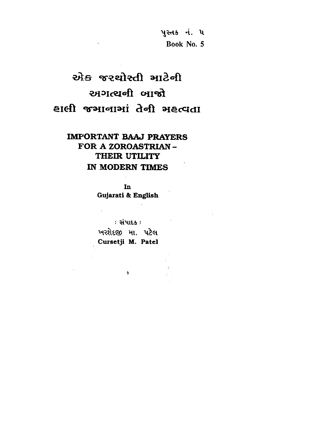પુસ્તક નં. ૫ Book No. 5

# स्रोड करथोस्ती भाटेनी अगत्यनी जालो हाली कुआवाभां तेनी भहत्वता

## **IMPORTANT BAAJ PRAYERS** FOR A ZOROASTRIAN-THEIR UTILITY IN MODERN TIMES

In Gujarati & English

 $\sim 400$  km  $^{-1}$ 

 $\sim$   $\sim$ 

: સંપાદક : પ્રાપ્તિ કર્યો છે.<br>આ ગામમાં આવેલા કર્યો છે કે તેને જે તેની સંસ્થા છે. ખરશેદજી મા. પટેલ Cursetji M. Patel

 $\mathbf{s}$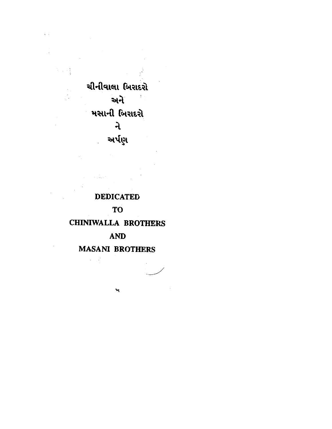ચીનીવાલા બિરાદરો અને મસાની બિરાદરો  $\mathbf{a}$ અર્પણ

**DEDICATED TO CHINIWALLA BROTHERS AND MASANI BROTHERS** 

 $\mathbf{v}$ 

 $\omega_{\rm{max}}$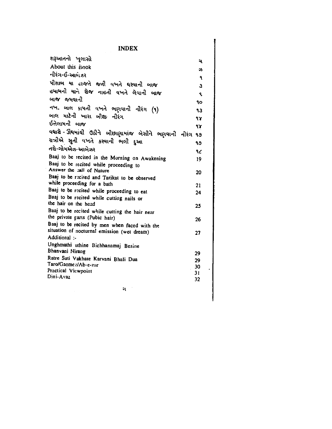#### **INDEX**

| શરૂઆતનો ખુલાસો                                                      | ચ        |
|---------------------------------------------------------------------|----------|
| About this Book                                                     | 54       |
| નીરંગ-ઈ-આબે.ઝર                                                      | ۹        |
| પીશાબ યા હાજતે જતી વખતે ઘરવાની બાજ                                  | 3        |
| હમામની યાને રોજ નાહતી વખતે લેવાની બાજ                               | k.       |
| બાજ જમવાની                                                          | 90       |
| નખ. બાલ કાપતી વખતે ભણવાની નીરંગ (૧)                                 | ٩З       |
| બાલ માટેની ખારા બીજી નીરંગ                                          |          |
| ઈત્તેલામની બાજ                                                      | 97       |
|                                                                     | 97       |
| વઘારો - ઊંઘમાંથી ઉઠીને બીછાણામાંજ બેસીને ભણવાની નીરંગ               | 99       |
| રાત્રીએ સુતી વખતે કરવાની ભલી દુઆ                                    | ۹૭       |
| તરો-ગોમએઝ-આબેઝર                                                     | ٩૮       |
| Baaj to be recited in the Morning on Awakening                      | 19       |
| Baaj to be recited while proceeding to<br>Answer the call of Nature |          |
| Baaj to be recited and Tarikat to be observed                       | 20       |
| while proceeding for a bath                                         | 21       |
| Baaj to be recited while proceeding to eat                          | 24       |
| Baaj to be recited while cutting nails or                           |          |
| the hair on the head                                                | 25       |
| Baaj to be recited while cutting the hair near                      |          |
| the private parts (Pubic hair)                                      | 26       |
| Baaj to be recited by men when faced with the                       |          |
| situation of nocturnal emission (wet dream)<br>Additional :-        | 27       |
|                                                                     |          |
| Unghmathi uthine Bichhanamaj Besine<br>Bhanvani Nirang              |          |
| Ratre Suti Vakhate Karvani Bhali Dua                                | 29<br>29 |
| Taro/Gaome:/Ab-e-zar                                                | 30       |
| Practical Viewpoint                                                 | 31       |
| Dini-Avaz                                                           | 32       |
| ગ                                                                   |          |
|                                                                     |          |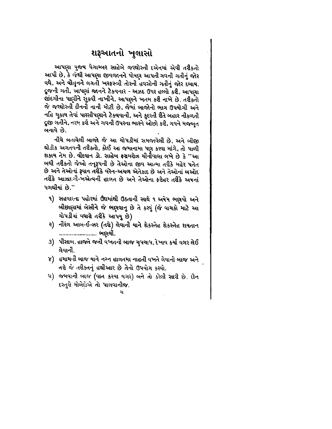### શરૂઆતનો ખુલાસો

આપણા પુજય પેગામ્બર સાહેબે જરથોસ્તી દએનમાં એવી તરીકતો આપી છે, કે જેથી આપણા જીવજાનને પોષણ આપતી ગવની ગતીનું જોર વધે, અને વોહુનને લગતી ખરફસ્ત્રી તોરની હવસોની ગતીનું જોર દબાય. દ્રજની ગતી, આપણાં જાનને ટેકવનાર - અઝદ ઉપર હલ્લો કરી, આપણા જીંદગીના પાણીને સુકવી નાખીને, આપણને ખતમ કરી નાખે છે. તરીકતો જે જરથોસ્તી દીનની નાની મોટી છે, જેમાં બાજોનો ભાગ ઉપયોગી અને નહિ ચુકાય તેવાં પારસીપણાને ટેકવવાની, અને કુદરતી રીતે બહાર નીકળતી દ્રુજી ગતીને, નરમ કરી અને ગવની ઉપરના ભારને ઓછો કરી, ગવને મજબૂત બનાવે છે.

નીચે બતાવેલી બાજો જે આ ચોપડીમાં સમજાવેલી છે, અને બીજી થોડીક અગતયની તરીક્તો, કોઈ આ જમાનામા પણ કરવા માંગે, તો પાળી શકાય તેમ છે. વીંદવાન ડો. સાહેબ ફરામરોઝ ચીનીવાલા લખે છે કે ''આ બઘી તરીકતો જેઓ તનૂરૂપની છે તેઓના જીવ આત્મા તરીકે મહેર પતેત છે અને તેઓનાં રૂવાન તરીકે વરેન-અચળ એતેકાદ છે અને તેઓનાં બઓદ તરીકે આઝાદગી-ખએત્વની હાલત છે અને તેઓના ફરોહર તરીકે અષનાં પગથીયાં છે."

- ૧) સહવારના પહોરમાં ઉંઘમાંથી ઉઠતાની સાથે ૧ અષેમ ભણવો અને બીછાણામાં બેસીને જે ભણવાનુ છે તે કરવું (જે વાચકો માટે આ ચોપડીમાં વધારો તરીકે આપયુ છે)
- २) નીરંગ આબ-ઈ-ઝર (તચે) લેવાની યાને શેકસ્તેહ શેકસ્તેહ શયતાન ........................ ભણવી.
- ૩) પીસાબ. હાજતે જતી વખતની બાજ ચુપચાપ, દેખાવ કર્યા વગર લેઈ લેવાની
- ૪) ્હમામની બાજ યાને નગ્ન હાલતમા નાહતી વખતે લેવાની બાજ અને તરો જે તરીકતનું હથીઆર છે તેનો ઉપયોગ કરવો.
- ૫) જમવાની બાજ (વાત કરયા વગર) બને તો કરેલી સારી છે. દીન દસ્તુરો મોબેદોએ તો પાલવાનીજ.

ચ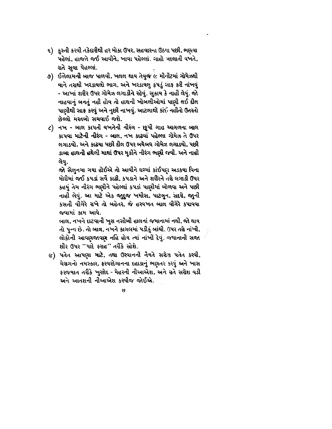- ૬) કુસ્તી કરવી તકેદારીથી હર મોકા ઉપર, સહવારના ઉઠયા પછી, ભણ્વા પહેલાં, હાજતે જઈ આવીને, ખાવા પહેલ્લાં. ગાહો બદલાતી વખતે, રાતે સુવા પેહલ્લાં.
- ૭) ઈત્તેલામની બાજ પાળવી, ખલલ થાય તેવુજ ૯ મીનીટમાં ગોમેઝથી યાને તરાથી ખરડાયલો ભાગ, અને ખરડાયલુ કપડું સાફ કરી નાંખવું - આખાં શરીર ઉપર ગોમેઝ લગાડીને રહેવું. સુકાય કે નાહી લેવું. જો નાહવાનું બનતું નહી હોય તો હાથની ખોબલીઓમાં પાણી લઈ દીલ પાણીથી સાફ કરવું અને નુછી નાખવું. આટલાથી કાંઈ નહીતો ઉતરતો છેલ્લો મસ્તબો સચવાઈ જશે.
- ૮) નખ બાલ કાપતી વખતેની નીરંગ છૂપી ગાહ આગળના બાલ કાપવા માટેની નીરંગ - બાલ, નખ કાઢવાં પહેલ્લા ગોમેઝ તે ઉપર લગાડવો, અને કાઢયા પછી દીલ ઉપર બઘેબઘ ગોમેઝ લગાડવો, પછી ડાબા હાથની હથેલી માથાં ઉપર મુકીને નીરંગ ભણી જવી. અને નાહી લેવ.

જો સેલુનમા ગયા હોઈએ તો આવીને ઘરમાં કાંઈપણ અડકયા વિના મોરીમાં જઈ કપડાં સર્વે કાઢી, કપડાને અને શરીરને તરો લગાડી ઉપર કહયું તેમ નીરંગ ભણીને પહેલ્લાં કપડાં પાણીમાં બોળવા અને પછી નાહી લેવું. આ માટે એક જાુદુજ ખમીસ, પાટલુન, સદરો, જાુની કસતી વીગેરે રાખે તો બહેતર, જે હરવખત બાલ વીગેરે કપાવવા જવામાં કામ આવે.

બાલ, નખને દાટવાની ખુશ નસીબી હાલનાં જમાનામાં નથી, જો થાય તો પુન્ન છે. તો બાલ, નખને કાગલમાં પડીકું બાંઘી. ઉપર તરો નાંખી, લોકોની આવણજાવણ નહિ હોય ત્યાં નાંખી દેવું. જગાનાની સજા શીર ઉપર ''પાદે ફરાહ'' તરીકે રહેશે.

૯) પતેત આપણા માટે, તથા ઉસ્વાનની નેયતે સરોય પતેત કરવી, ચેસગનો નમસ્કાર, ફરવરદેગાનના દહાડાનું ભણતર કરવું અને ખાસ ફરજયાત તરીકે ખુરશેદ - મેહરની નીઆએશ, અને રાતે સરોશ વડી અને આતશની નીઆએશ કર્સ્યીજ જોઈએ.

19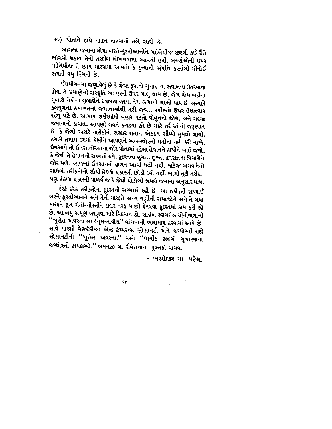૧૦) પોતાને હાથે નાહન નાહવાની તબે સારી છે.

આગલા જમાનાઓમા બસ્તે-કુશ્તીઆનોને પહેલેથીજ છંદગી કઈ રીતે ભોગવી શકાય તેની તરકીબ શીખવવામાં આવતી હતી. બચ્ચાંઓની ઉપર પહેલેથીજ તે છાપ મારવામા આવતો કે દુન્યાની સંપત્તિ કરતાંબી મીનોઈ સંપતી વધુ કિંમતી છે.

ઈલમીયતમાં જણાવેલું છે કે જેવા રૂવાનો ગુનાહ યા સવાબના ઉતરવાના હોય, તે પ્રમાણેની સંસ્કૃતિ આ ઘસ્તી ઉપર ચાલુ થાય છે. જેમ જેમ બદીના ગુબારો નેકીના ગુબારોને દબાવતા જાય, તેમ જમાનો ગદલો થાય છે.અત્યારે કલયુગના કયામતનાં જમાનામાંથી તરી જવા. તરીકતો ઉપર ઉશતવાર રહેવુ ઘટે છે. આપણા શરીરમાંથી બહાર પડતો વોહુનનો જોશ, અને ગદલા જમાનાનો પ્રવાહ, આપણી ગવને કચડયા કરે છે માટે તરીક્તોની જરૂરયાત છે. કે જેથી અસરે તારીકીનો સરદાર શેતાન એકદમ સીધ્ધો હુમલો લાવી, તમામે તમામ દમમાં પેસીને આપણને અજરથોસ્તી મતીના નહીં કરી નાખે. ઈનસાને તો ઈનસાનીઅતના જોરે પોતામાં રહેલા હેવાનને કાપીને ખાઈ જવો, કે જેથી તે હેવાનની સદગતી થવે, કુદસ્તના હુમત, હુખ્ત, હવરરતના વિચારોને જોર મળે. આજનાં ઈનસાનની હાલત આવી થતી નથી. માટેજ અગવડોની સાથેબી તરીક્તોનો સૌથી હેઠળો પ્રકાસ્બી છોડી દેવો નહીં. ભાંગી તૂટી તરીક્ત પણ હેઠળા પ્રકારની પાળવીજ કે જેથી થોડોબી ફાયદો જમાના અનુસાર થાય.

દરેકે દરેક તરીકતોમાં કુદરતની સચ્ચાઈ રહી છે. આ હકીકતી સચ્ચાઈ બસ્તે-કુસ્તીઆનને અને તેની મારફતે અન્ય વર્ણોની સમાજોને અને તે બઘા મારફતે કુલ ગેતી-નીસ્તીને દાદાર તરફ પાછી ફેરવવા કુદરતમાં કામ કરી રહે છે. આ બધું સંપૂર્ણ જાણવા માટે વિદવાન ડો. સાહેબ ફરામરોઝ ચીનીવાલાની ''ખુરદેહ અવસ્તા બા ક્નૂમ-તાવીલ'' વાંચવાની ભલામણ કરવામાં આવે છે. સાથે પારસી વેજીટેરીયન એન્ડ ટેમ્પરન્સ સોસાયટી અને જસ્થોસ્તી રહી સોસાયટીની ''ખુરદેહ અવસ્તા.'' અને ''ઘાર્મીક છંદગી ગુજારવાના જરથોસ્તી કાયદાઓ,'' બમનજી બ. રીવેતનાના પુસ્તકો વાંચવા.

- ખરશેદજી મા. પટેલ.

 $\sigma$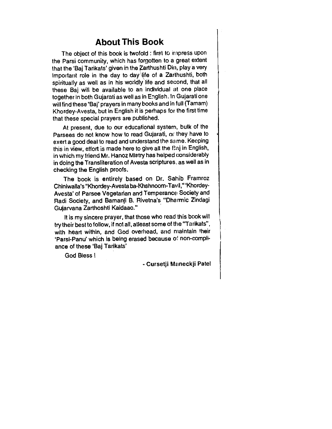### **About This Book**

The object of this book is twofold : first to impress upon the Parsi community, which has forgotten to a great extent that the 'Baj Tarikats' given in the Zarthushti Din, play a very important role in the day to day life of a Zarthushti, both spiritually as well as in his worldly life and second, that all these Baj will be available to an individual at one place together in both Gujarati as well as in English. In Gujarati one will find these 'Baj' prayers in many books and in full (Tamam) Khordey-Avesta, but in English it is perhaps for the first time that these special prayers are published.

At present, due to our educational system, bulk of the Parsees do not know how to read Gujarati, or they have to exert a good deal to read and understand the same. Keeping this in view, effort is made here to give all the Baj in English, in which my friend Mr. Hanoz Mistry has helped considerably in doing the Transliteration of Avesta scriptures, as well as in checking the English proofs.

The book is entirely based on Dr. Sahib Framroz Chiniwalla's "Khordey-Avestaba-Khshnoom-Tavil," 'Khordey-Avesta' of Parsee Vegetarian and Temperance Society and Radi Society, and Bamanji B. Rivetna's "Dharmic Zindagi Gujarvana Zarthoshti Kaidaao."

It is my sincere prayer, that those who read this book will try their best to follow, if not all, atleast some of the "Tarikats", with heart within, and God overhead, and maintain their 'Parsi-Panu' which is being erased because of non-compliance of these 'Baj Tarikats'

God Bless!

- Cursetji Maneckji Patel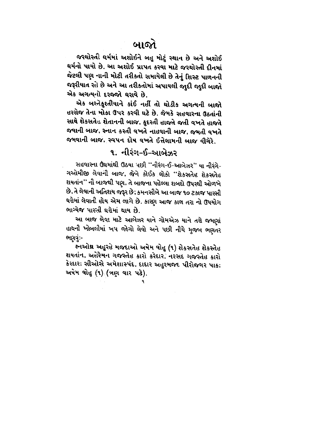જરથોસ્તી ઘર્મમાં અશોઈને બહુ મોટું સ્થાન છે અને અશોઈ ઘર્મનો પાયો છે. આ અશોઈ પ્રાપત કરવા માટે જરથોસ્તી દીનમાં જેટલી પણ નાની મોટી તરીકતો સમાયેલી છે તેનું શિસ્ટ પાળનની જરૂરીયાત રહે છે અને આ તરીકતોમાં અપાયલી જાુદી જાુદી બાજો એક અગત્યનો દરજ્જો ઘરાવે છે.

એક બસ્તેક્રુશ્તીયાને કાંઈ નહીં તો થોડીક અગત્યની બાજો હરરોજ તેના મોકા ઉપર કરવી ઘટે છે. જેમકે સહવારના ઉઠતાંની સાથે શેકસતેહ શેતાનની બાજ, કુદરતી હાજતે જતી વખતે હાજતે જવાની બાજ, સ્નાન કરતી વખતે નાહવાની બાજ, જમતી વખતે જમવાની બાજ, સ્વપન દોષ વખતે ઈત્તેલામની બાજ વીગેરે.

## ૧. નીરંગ-ઈ-આબેઝર

સહવારના ઉંઘમાંથી ઉઠયા પછી "નીરંગ-ઈ-આબેઝર" યા નીરંગે-ગઓમીજી લેવાની બાજ, જેને કોઈક લોકો ''શેકસતેહ શેકસતેહ શયતાંન'' ની બાજથી પણ. તે બાજના પહેલ્લા શબદો ઉપરથી ઓળખે છે, તે લેવાની અતિશય જરૂર છે; કમનસીબે આ બાજ ૧૦ ટકાજ પારસી ઘરોમાં લેવાતી હોય એમ લાગે છે. કારણ આજ કાલ તરા નો ઉપયોગ ભાગ્યેજ પારમી ઘરોમાં થાય છે.

આ બાજ લેવા માટે આબેઝર યાને ગોમએઝ યાને તરો જમણાં હાથની ખોબલીમાં ખપ જોગો લેવો અને પછી નીચે મુજબ ભણતર ભણવું -

જ્નઓથ અહુરહે મજદાઓ અષેમ વોહુ (૧) શેકસતેહ શેકસ્તેહ શયતાંન, અહેરેમન ગજસ્તેહ કારો કરેદાર, નરસદ ગજસ્તેહ કારો કેરદાર; સીઓસે અમેશાસ્પંદ, દાદાર અહુરમજદ પીરોજગર પાક; અષેમ વોહુ (૧) (ત્રણ વાર પઢે).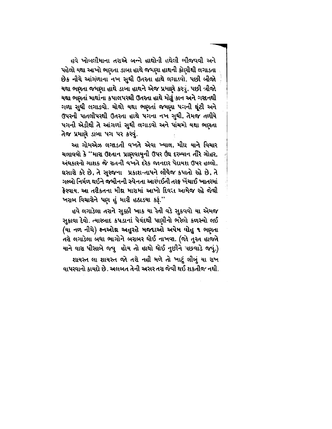હવે ખોબલીમાના તરાએ બન્ને હાથોની હથેલી ભીજવવી અને પહેલો યથા આખો ભણતા ડાબા હાથે જમણા હાથની કોણીથી લગાડતા છેક નીચે આંગળાના નખ સુઘી ઉતરતા હાથે લગાડવો. પછી બીજો યથા ભણતા જમણા હાથે ડાબા હાથને એજ પ્રમાણે કરવું. પછી ત્રીજો યથા ભણતાં માથાંના કપાલપરથી ઉતરતા હાથે મોઢું કાન અને ગરદનથી ગળા સુધી લગાડવો. ચોથો યથા ભણતાં જમણા પગની ઘૂંટી અને ઉપરની પાતલીપરથી ઉતરતા હાથે પગના નખ સુધી, તેમજ તળીયે પગની એડીથી તે આંગળાં સુઘી લગાડવો અને પાંચમો યથા ભણતા તેજ પ્રમાણે ડાંબા પગ પર કરવું.

આ ગોમએઝ લગાડતી વખતે એવા ખ્યાલ, મીઘ્ર યાને વિચાર ચલાવવો કે ''મારા ઉશ્તાન પ્રાણવાયુની ઉપર ઉંઘ દરમ્યાન તીરે ગોહર, અંધકારનો ગાશક જે સતની વખતે દરેક જાનદાર પેદાયશ ઉપર હલ્લો. ઘસારો કરે છે, તે સુરજના પ્રકાશ-તાપને લીધેજ કપાતો રહે છે, તે ગલ્બો નિર્મળ થઈને જમીનની સ્પેનતા આરમઈતી તરફ ખેંચાઈ ખાતરમાં ફેરવાય. આ તરીકતના મીથ મારામાં આખો દિવસ આમેજ રહે જેથી ખરાબ વિચારોને પણ હું મારી હઠાડયા કરૂં.''

હવે લગાડેલા તરાને સુક્કી ખાક યા રેતી વડે સુકવવો યા એમજ સુકાવા દેવો. ત્યારબાદ કપડાનાં પેવંદથી પાણીનો ભરેલો કળસ્યો લઈ (યા નળ નીચે) કનઓથ અહુરહે મજદાઓ અષેમ વોહુ ૧ ભણતા તરો લગાડેલા બધા ભાગોને બરાબર ધોઈ નાખવા. (જો તુરત હાજતે યાને વારા પીસાબે જવુ હોય તો હાથો ઘોઈ નુછીને પછવાડે જવું.) શાયસ્ત લા શાયસ્ત જો તરો નહી મળે તો ખાટું લીબું યા રાખ વાપરવાનો કાયદો છે. અલબત તેની અસર તરા જેવી થઈ શકતીજ નથી.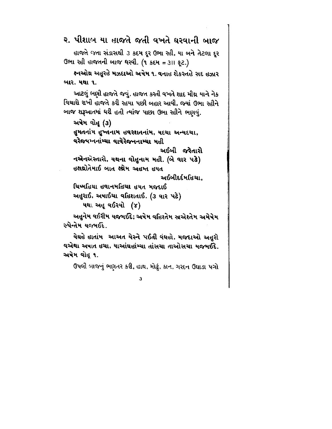રુ. પીશાબ યા હાજતે જતી વખતે ઘરવાની બાજ

હાજતે જતા સંડાસથી ૩ કદમ દૂર ઉભા રહી, યા બને તેટલા દૂર ઉભા રહી હાજતની બાજ ઘરવી. (૧ કદમ = ૩।। ફૂટ.)

ક્નઓથ અહુરહે મઝદાઓ અષેમ ૧. વનાહ શેકસ્તહે સદ હઝાર બાર. યથા ૧.

આટલું ભણી હાજતે જવું. હાજત કરતી વખતે શાદ મીથ્ર યાને નેક વિચારો રાખી હાજતે કરી રહયા પછી બહાર આવી, જ્યાં ઉભા રહીને બાજ શરૂઆતમાં ધરી હતી ત્યાંજ પાછા ઉભા રહીને ભણવું.

અષેમ વોહૂ (૩) હુમતનાંમ હુખ્તનામ હવરશતનાંમ, યદચા અન્યદચા, વરેજપમ્નનાંમ્ચા વાવેરેજનનામ્ચા મહી અઈબી જરેતારો નએનએસ્તારો, યથના વોહુનામ મહી. (બે વાર પઢે) હક્ષથ્રોતેમાઈ બાત ક્ષ્યેમ અહમ્ત હયત

અઈબીદર્દમહિચા.

ચિષ્મહિયા હવાનમહિયા હયત મજદાઈ અહુરાઈ, અષાઈચા વહિશતાઈ. (૩ વાર પટે) યથા અહૂ વઈરયો (૪)

અહુનેમ વઈરીમ યજમઈદે; અષેમ વહિશ્તેમ સ્રએશ્તેમ અમેષેમ સ્પેન્તેમ યજમઈદે.

યેઘહે હાતાંમ ં આઅત યેસ્ને પઈતી વંઘહો, મજદાઓ અહુરો વએથા અષાત હચા, યાઆંઘહાંમ્ચા તાંસચા તાઓસચા યજમઈદે. અષેમ વોહૂ ૧.

З

ઉપલી બાજનું ભણતર કરી, હાથ, મોઢું, કાન, ગરદન ઉઘાડા પગો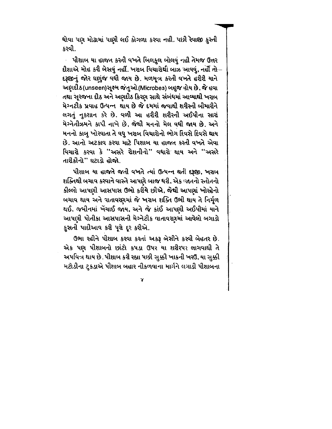ધોવા પણ મોઢામાં પાણી લઈ કોગળા કરવા નહી. પછી રેવાજી કુસ્તી કરવી.

પીશાબ યા હાજત કરતી વખતે બિલકુલ બોલવું નહી તેમજ ઉત્તર દીશાએ મોહ કરી બેસવું નહીં. ખરાબ વિચારોથી બાઝ આવવું, નહીં <del>ત</del>ો-દરૂછાનું જોર ઘણુંજ વધી જાય છે. મળમૂત્ર કરતી વખતે હરીરી યાને અણદીઠ(unseen)સૂક્ષ્મ જંતુઓ(Microbes) બહુજ હોય છે. જે હવા તથા સૂરજના દીઠ અને અણદીઠ કિસ્ણ સાથે સંબંધમાં આવ્યાથી ખરાબ મેગ્નટીક પ્રવાહ ઉત્પન્ન થાય છે જે દમમાં જવાથી શરીસ્ની બીમારીને લગતું નુકશાન કરે છે. વળી આ હરીરી શરીરની અઈપીના સારાં મેગ્નેતીઝમને કાપી નાખે છે, જેથી મનનો મેલ વધી જાય છે. અને મનનો કાબુ ખોરવાતા તે વધુ ખરાબ વિચારોનો ભોગ દિવસે દિવસે થાય છે. આનો અટકાવ કરવા માટે પિશાબ યા હાજત કરતી વખતે એવા વિચારો કરવા કે **'**'અસરે રોશનીનો'' વધારો થાય અને '**'અસ**રે તારીકીનો" ઘટાડો હોજો.

પીશાબ યા હાજતે જતી વખતે ત્યાં ઉત્પન્ન થતી દરૂજી, ખરાબ શક્તિથી બચાવ કરવાને વાસ્તે આપણે બાજ ઘરી, એક જાતનો સ્તોતનો કીલ્લો આપણી આસપાસ ઉભો કરીયે છીએ, જેથી આપણાં ખોરહેનો બચાવ થાય અને વાતાવરણમાં જે ખરાબ શક્તિ ઉભી થાય તે નિર્મૃળ થઈ. જમીનમાં ખેંચાઈ જાય, અને જે કાંઈ આપણી અઈપીમાં યાને આપણી પોતીકા આસપાસની મેગ્નેટીક વાતાવરણમાં આવેલો બગાડો કુસતી પાદીઆવ કરી પૂરો દૂર કરીએ.

ઉભા રહીને પીશાબ કરવા કરતાં અકરૂ બેસીને કરવી બેહતર છે. એક પણ પીશાબનો છાંટો કપડા ઉપર યા શરીરપર લાગવાથી તે અપવિત્ર થાય છે. પીશાબ કરી રહ્યા પછી સુક્કી ખાકની ખરઉ, યા સુક્કી મટોડીના ટુકડાએ પીશાબ બહાર નીકળવાના માર્ગને લગાડી પીશાબના

γ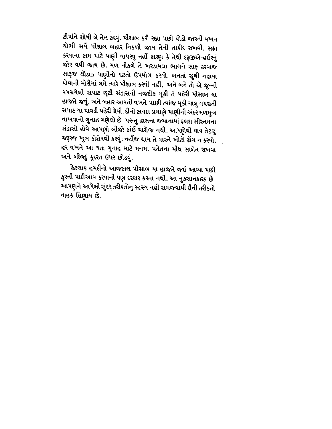ટીપાંને શોષી લે તેમ કરવું. પીશાબ કરી રહ્યા પછી થોડો જાસ્તી વખત થોભી સર્વે પીશાલ બહાર નિકળી જાય તેની તાકીદ ગ્રખવી. સફા કરવાના કામ માટે પાણી વાપરવુ નહીં કારણ કે તેથી દરૂછએ-હઈસ્નું જોર વધી જાય છે. મળ નીકળે તે ખરડાયલા ભાગને સાફ કરવાજ સારૂજ થોડાક પાણીનો ઘટતો ઉપયોગ કરવો. બનતાં સુધી નહાવા ઘોવાની મોરીમાં ગમે ત્યારે પીશાબ કરવી નહીં, અને બને તો એ જુન્ની વપરાયેલી સપાટ છૂટી સંડાસની નજદીક મૂકી તે પહેરી પીસાબ યા હાજતે જવું, અને બહાર આવતી વખતે પાછી ત્યાંજ મૂકી ચાલુ વપરાતી સપાટ યા પાવડી પહેરી લેવી. દીની કાયદા પ્રમાણે પાણીની અંદર મળમુત્ર નાખવાનો ગુનાહ ગણેલો છે. પરન્તુ હાલના જમાનામાં ફલશ સીસ્તમના સંડાસો હોવે આપણો બીજો કાંઈ ચારોજ નથી. આપણેથી થાય તેટલું જરૂરજ ખુબ કોશેષથી કરવું; નહીંજ થાય તે વાસ્તે ખોટો ઢોંગ ન કરવો. હર વખતે આ થતા ગુનાહ માટે મનમાં પતેતના મીઘ સાબેત રાખવા અને બીજાું ફુદરત ઉપર છોડવું.

કેટલાક હમદીનો આજકાલ પીસાબ યા હાજતે જઈ આવ્યા પછી કુસ્તી પાદીઆવ કરવાની પણ દરકાર કરતા નથી, આ નુકસાનકારક છે. આપણને આપેલી સુંદર તરીકતોનુ રહસ્ય નહી સમજવાથી દીની તરીકતો નાહક હિણાય છે.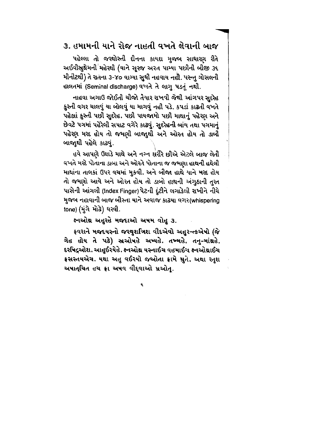## ૩. હમામની યાને રોજ નાહતી વખતે લેવાની બાજ

પહેલ્લા તો જરથોસ્તી દીનના કાયદા મુજબ સાધારણ રીતે અઈવીસ્રુથેમની<sup>ં</sup>મહેરથી (યાને સૂરજ અરત પામ્યા પછીની બીજી ૩૬ મીનીટથી) તે રાતના ૩-૪૦ વાગ્યા સુઘી નહવાય નહી. પરન્તુ ગોસલની હાલતમાં (Seminal discharge) વખતે તે લાગુ પડતું નથી.

નાહવા અગાઉ જોઈતી ચીજો તેયાર રાખવી જેથી આંગપર સુદરેહ કુસ્તી વગર ચાલવું યા બોલવું યા માગવું નહી પડે. કપડાં કાઢતી વખતે પહેલાં કુસ્તી પછી સુદરેહ. પછી પાયજામો પછી માથાનું પહેરણ અને છેવટે પગમાં પહેરેલી સપાટ વગેરે કાઢવું. સુદરેહની બાંય તથા પગમાનું પહેરણ મરદ હોય તો જમણી બાજાુથી અને ઓરત હોય તો ડાબી બાજાથી પહેલે કાઢવું.

હવે આપણે ઉઘાડે માથે અને નગ્ન શરીરે છીએ એટલે બાજ લેતી વખતે મરદે પોતાના ડાબા અને ઓરતે પોતાના જ જમણા હાથની હથેલી માથાંના તાલકાં ઉપર વચમાં મુકવી. અને બીજા હાથે યાને મરદ હોય તો જમણો આવે અને ઓરત હોય તો ડાબો હાથની અંગુઠાની તુરત પાસેની આંગલી (Index Finger)પેટની દુંટીને લગાડેલી રાખીને નીચે મુજબ નહાવાની બાજ બીસ્તા યાને અવાજ કાઢયા વગર(whispering tone) (મુંગે મોઢે) ઘરવી.

ક્ષ્નઓથ અહુરહે મજદાઓ અષમ વોહુ ૩.

ફવરાને મજદયસ્નો જરથુશત્રિશ વીદએવો અહુર-ત્કએષો (જે ગેહ હોય તે પઢે) સ્ત્રઓષહે અષ્યહે. તખ્મહે. તનુ-માંથ્રહે, દરપિદ્રઓશ. આહુઈરયેહે. ક્ષ્નઓથ્ર યસ્નાઈચ વહમાઈચ ક્ષ્નઓથ્રાઈચ ફ્રસસ્તયએચ. યથા અહુ વઈરયો જઓતા ફ્રામે મુતે. અથા રતુશ અષાત્ચિત હચ ફ્રા અષવ વીદ્વાઓ મ્રઓત.

₹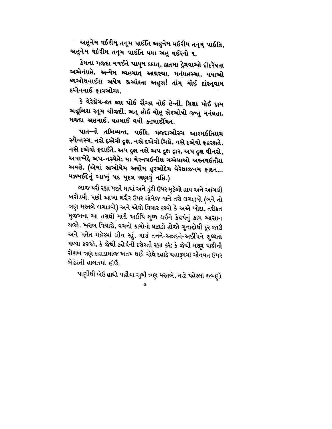અહુનેમ વઈરીમ્ તનૂમ પાઈતિ અહુનેમ વઈરીમ તનૂમ્ પાઈતિ, અહુનેમ વઈરીમ તનૂમ પાઈતિ યથા અહુ વઈરયો ૧.

કેમના મજદા મવઈતે પાયુમ દદાત્, જ્ઞતમા દ્રેગવાઓ દીદરેષતા અએનંઘહે, અન્યેમ થ્વહમાત્ આથ્રસ્ચા, મનંઘહસ્ચા, યયાઓ ષ્થઓથનાઈશ અષેમ થઓશ્તા અહુરા! તાંમ્ મોઈ દાંસ્ત્**વા**મ દએનયાઈ કાવઓચા.

કે વેરેથ્રેમ-જા થ્વા પોઈ સેંગ્હા યોઈ હેન્તી, ચિથ્રા મોઈ દામ અહૂબિશ રતૂમ ચીજદી; અત્ હોઈ વોહુ સેરઓષો જન્તુ મનંઘહા, મજદા અહમાઈ, યહમાઈ વષી કહમાઈચિત.

પાત-નો તબિષ્યન્ત, પઈરિ, મજદાઓસ્ચ આરમઈતિશચ સ્પેન્તસ્ચ, નસે દએવી દુક્ષ, નસે દએવો ચિથ્રે, નસે દએવો ફ્રકરશતે. નસે દએવો ‡દાઈતે, અપ દુક્ષ નસે અપ દુક્ષ દ્રાર, અપ દુક્ષ વીનસે, અપાખેદ્રે અપ-નસ્યેહે; મા મેરનચઈનીશ ગએથાઓ અસ્તવઈતીશ અષહે. (એમાં સ્રઓષેમ અષીમ હુરઓદેમ વેરેથ્રાજનમ ફ્રાદત... યઝમઈદેનું આખું પદ મુદલ ભણવું નહિ.)

બાજ ધરી રહ્યા પછી માથાં અને ડુંટી ઉપર મુકેલો હાથ અને આંગલી ખસેડવી. પછી આખા શરીર ઉપર ગોમેજ યાને તરો લગાડવો (બને તો ત્રણ મસ્તબે લગાડવો) અને એવો વિચાર કરવો કે અએ ખોદા, તરીકત મુજબના આ તરાથી મારી અઈપિ શુઘ્ઘ થઈને કેહર્પનું કામ આસાન થજો. ખરાબ વિચારો, વચનો કામોનો ઘટાડો હોજો ગુનાહોથી દૂર જાઉં અને પતેત મહેરમાં લીન રહું. મારાં તનને-અઝદને-અઈપિને શુઘ્ઘતા મળ્યા કરજો, કે જેથી કહેર્પની દરોસ્તી રહ્યા કરે; કે જેથી મરણ પછીની સેશબ ત્રણ દહાડામાંજ ખતમ થઈ ચોથે દહાડે ચહારૂમમાં ચીનવત ઉપર બેહેશ્તી હાલતમાં હોઉ.

પાણીથી બેઉ હાથો પહોંચા સુઘી ત્રણ મસ્તબે, મરદે પહેલ્લાં જમણો

ಿ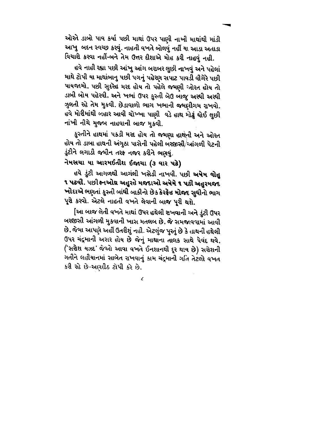ઓસ્તે ડાબો પાવ કર્યા પછી માથાં ઉપર પાણી નાખી માથાંથી માંડી આખુ બદન સ્વચ્છ કરવું. નાહતી વખતે બોલવું નહીં યા આડા અતાડા વિચારો કરવા નહીં-બને તેમ ઉત્તર દીશાએ મોહ કરી નાહવું નહી.

હવે નાહી રહ્યા પછી આંખુ આંગ બરાબર લુછી નાખવું અને પહેલાં માથે ટોપી યા માથાંબાનુ પછી પગનું પહેરણ સપાટ પાવડી વીગેરે પછી પાયજામો, પછી સુદરેહ મરદ હોય તો પહેલે જમણી ઓરત હોય તો ડાબી બોય પહેરવી. અને ખભાં ઉપર કુસ્તી બેઉ બાજુ અરધી અરધી ઝુલતી રહે તેમ મુકવી. છેડાવાળો ભાગ ખભાની જમણીગમ રાખવો. હવે મોરીમાંથી બહાર આવી ચોખ્ખા પાણી વડે હાથ મોઢું ઘોઈ લુછી નાંખી નીચે મુજબ નાહવાની બાજ મુકવી.

કુસ્તીને હાથમાં ૫કડી મરદ હોય તો જમણા હાથની અને ઓરત હોય તો ડાબા હાથની અંગુઠા પાસેની પહેલી બરજીસી/આંગળી પેટની ડુંટીને લગાડી જમીન તરફ નજર કરીને ભણવું.

#### નેમસચા યા આરમઈતીશ ઈજાચા (૩ વાર પઢે)

હવે ડુંટી આગળથી આગંલી ખસેડી નાખવી. પછી **અષેમ વોહુ** ૧ પટવી. પછીજનઓથ અહુરહે મજદાઓ અષેમે ૧ પઢી અહુરમજદ ખોદાએ ભણતાં કુસ્તી બાંધી બાકીનો છેક કેરફેહ મોજદ સુધીનો ભાગ પૂરો કરવો. એટલે નાહતી વખતે લેવાની બાજ પૂરી થશે.

[આ બાજ લેતી વખતે માથાં ઉપર હથેલી રાખવાની અને ડુંટી ઉપર બરજીસી આંગળી મુકવાની ખાસ મતલબ છે, જે સમજાવવામાં આવી છે. જેમા આપણે અહીં ઉતરીશું નહી. એટલુંજ પુસ્તું છે કે હાથની હથેલી ઉપર ચંદ્રમાની અરાર હોય છે જેનું માથાના તાલક સાથે પેવંદ થવે, ('સરોશ યઝદ' જેઓ આવા વખતે ઈનશાનથી દૂર થાય છે) સરોશની ગતીને લહીયાનમાં સાબેત રાખવાનું કામ ચંદ્રમાની ગતિ તેટલો વખત કરી રહે છે-અણદીઠ ટોપી કરે છે.

 $\epsilon$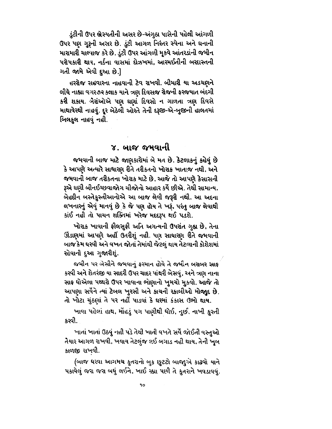ડુંટીની ઉપર ભ્રેસ્પતીની અસર છે-અંગુઠા પાસેની પહેલી આંગળી ઉપર પણ ગુરૂની અસર છે. ડુંટી આગળ નિરંતર સ્પેના અને ઘનાની મારામારી ચાલ્યાજ કરે છે. ડુંટી ઉપર આંગળી મૂકવે આંતરડાંની જમીન પરોપકારી થાય, નર્કના વાસમાં દોઝખમાં, આરમઈતીની બરદાસ્તની ગતી જામે એવી દુઆ છે.]

હરરોજ સહવારના નાહવાની ટેવ રાખવી. બીમારી યા અડચણને લીધે નાહ્યા વગર૭૨ કલાક યાને ત્રણ દિવસજ રોજની ફરજયાત બંદગી કરી શકાય. બેેેેેેચંઓએ પણ ઘણાં દિવસો ન ગાળતા ત્રણ દિવસે માથાવેરથી નાહવું. દૂર બેઠેલી ઓરતે તેની દરૂછ-એ-બુજીની હાલતમાં બિલકુલ નાહવું નહી.

### ૪. બાજ જમવાની

જમવાની બાજ માટે જાણકારોમાં બે મત છે. કેટલાકનું કહેવું છે કે આપણે અત્યારે સાધારણ રીતે તરીકતનો ખોરાક ખાતાજ નથી, અને જમવાની બાજ તરીકતના ખોરાક માટે છે, આજે તો આપણે કેસાસની રૂએ ઘણી બીનઈચ્છવાજોગ ચીજોનો આહાર કર્યે છીએ. તેથી સામાન્ય, બેહદીન બસ્તેકુસ્તીઆનોએ આ બાજ લેવી જરૂરી નથી. આ અદના લખનારનું એવું માનવું છે કે જે પણ હોય તે ખરૂં, પરંતુ બાજ લેવાથી કાંઈ નહી તો પાચન શક્તિમાં ખરેજ મદદરૂપ થઈ પડશે.

ખોરાક ખાવાની ફીલસુફી અતિ અગત્યની ઉપરાંત ગુહ્ય છે, તેના ઊંડાણમાં આપણે અહીં ઉતરીશું નહી. પણ સાધારણ રીતે જમવાની બાજ કેમ ઘરવી અને વખત જોતાં તેમાંથી જેટલું થાય તેટલાની કોશેશમાં રહેવાની દુઆ ગુજારીશું.

જમીન પર બેસીને જમવાનું ફરમાન હોવે તે જમીન બરાબર સાફ કરવી અને શેતરજી યા સાદરી ઉપર ચાદર પાંથરી બેસવું, અને ત્રણ નાના સાફ ઘોએલા પથ્થરો ઉપર ખાવાના ભાણાનો ખુમચો મુકવો. આજે તો આપણા સર્વેને ત્યાં ટેબલ ખુરસી અને કાચની રકાબીઓ મોજાુદ છે. તો ખોટા ચુંઠણાં તે પર નહીં પાડવાં કે ઘરમાં કંકાસ ઉભો થાય.

ખાવા પહેલાં હાથ, મોંહડું પગ પાણીથી ધોઈ, નુછી નાખી કુસ્તી કરવી.

ખાતાં ખાતાં ઉઠવું નહી પડે તેથી ખાતી વખતે સર્વે જોઈતી વસ્તુઓ તેયાર આગળ રાખવી, ખવાય તેટલુંજ લઈ બગાડ નહી થાય, તેની ખૂબ કાળજી રાખવી.

(બાજ ઘરવા આગમચ કુતરાનો બુક છુટટો બાજાુએ કાઢવો યાને પકાવેલું જરા જરા બધું લઈને, ખાઈ રહ્યા પછી તે કુતરાને ખવડાવવું.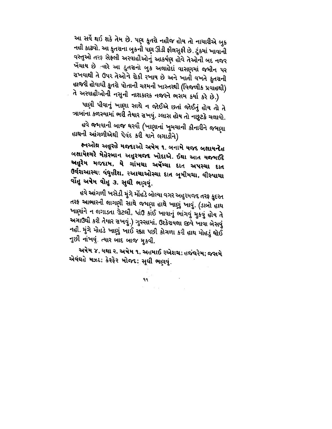આ સર્વે થઈ શકે તેમ છે. પણ કુતરો નહીજ હોય તો નાચારીએ બુક નહી કાઢવો. આ કુતરાના બુકની પણ ઊંડી ફીલસુફી છે. ટુંકમાં ખાવાની વસ્તુઓ તરફ સેફલી અરવાહીઓનું આકર્ષણ હોવે તેઓની બદ નજર ખેંચાય છે ત્યારે આ કુતરાનો બુક અલાહેદાં વાસણમાં જમીન પર રાખવાથી તે ઉપર તેઓને રોકી રખાય છે અને ખાતી વખતે કુતરાની હાજરી હોવાથી કુતરો પોતાની ચશ્મની ખાસ્તરથી (વિજળીક પ્રવાહથી)

તે અસ્વાહીઓની નસુની નાશકારક નજરને ભસમ કર્યા કરે છે.) પાણી પીવાનું ખાણા સાથે ન જોઈએ છતાં જોઈતું હોય તો તે ત્રાબાંના કળસ્યામાં ભરી તેયાર રાખવું. ગ્લાસ હોય તો નછુટકે ચલાવો. હવે જમવાની બાજ ઘરવી (ખાણાનાં ખુમચાની કીનારીને જમણા

હાથની આંગળીએથી પેવંદ કરી યાને લગાડીને)

ક્નઓથ અહુરહે મજદાઓ અષેમ ૧. બનામે યજદ બક્ષાયન્દેહ બક્ષાયેશ્ગરે મેહેરબાન અહુરમજદ ખોદાએ. ઈથા આત યજમઈદે અહુરેમ મજદામ, યે ગાંમચા અર્ષેમ્ચા દાત અપસ્ચા દાત ઉર્વરાઆસ્ચા વંઘુહીશ, રઆચાઓસ્ચા દાત બૂમીમચા, વીસ્પાચા વૉહુ અષેમ વોહુ ૩. સુઘી ભણવું.

હવે આંગળી ખસેડી મુંગે મોંહડે બોલ્યા વગર અહુરમજદ તરફ કુદરત તરફ આભારની લાગણી સાથે જમણા હાથે ખાણું ખાવું. (ડાબો હાથ ખાણાંને ન લગાડતા ગ્રેટલી, પાંઉ કાંઈ ખાવાનું ભાંગવું મુકવું હોય તે અગાઉથી કરી તેયાર રાખવું.) ગુસ્સામાં, ઉશ્કેરાયલા જીવે ખાવા બેસવું નહી. મુંગે મોહડે ખાણું ખાઈ રહ્યા પછી કોગળા કરી હાથ મોહડું ઘોઈ નુછી નાંખવું. ત્યાર બાદ બાજ મુકવી.

અષેમ ૪, યથા ૨, અષેમ ૧, અહમાઈ રએશચ; હજંઘરેમ; જસમે એવંઘહે મઝદ; કેરફેર મોજદ; સુઘી ભણવું.

 $\mathcal{L}(\mathcal{A})$  and  $\mathcal{L}(\mathcal{A})$  and  $\mathcal{L}(\mathcal{A})$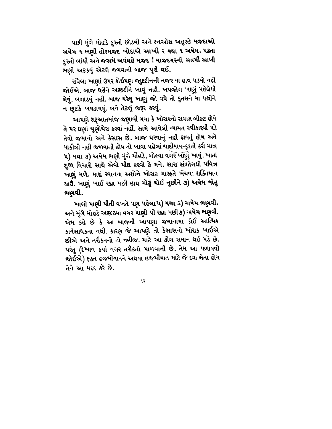પછી મુંગે મોહડે કુસ્તી છોડવી અને ક્નઓથ્ર અહુરહે મજદાઓ અષેમ ૧ ભણી હોરમજદ ખોદાએ આખી ર યથા ૧ અષેમ, પઢતા કુસ્તી બાંઘી અને જસમે અવંઘહે મજદ ! માજદયસ્નો અહમી આખી ભણી અટકવું એટલે જમવાની બાજ પૂરી થઈ.

રાંધેલા ખાણાં ઉપર કોઈપણ જાુદદીનની નજર યા હાથ પડવો નહી જોઈએ. બાજ ઘરીને અજીઠીને ખાવું નહી. ખપજોગ ખાણું પહેલેથી લેવું. બગાડવું નહી. બાજ ધરેલુ ખાણું જો વધે તો કુતરાને યા પક્ષીને ન છૂટકે ખવડાવવું. બને તેટલું જરૂર કરવું.

આપણે શરૂઆતમાંજ જણાવી ગયા કે ખોરાકનો સવાલ બીકટ હોવે તે પર ઘણાં ચુણોચેરા કરવાં નહીં. સામે આવેલી ન્યામત સ્વીકારવી પડે તેવો જમાનો અને કેસાસ છે. બાજ ઘરવાનું નહી ફાવતું હોય અને પાકીઝી નહી જળવાતી હોય તો ખાવા પહેલાં પાદીયાવ-ફુરતી કરી માત્ર ૫) યથા ૩) અષેમ ભણી મુંગે મોંહડે, બોલ્યા વગરે ખાણું ખાવું. ખાતાં શુઘ્ધ વિચારો સાથે એવો મીથ્ર કરવો કે મને, સારા સંજોગથી પવિત્ર ખાણું મળે, મારાં સ્વાનના અંશોને ખોરાક મારફતે ખેંચવ. શક્તિમાન થાઉં. ખાણું ખાઈ રહ્યા પછી હાથ મોઢું ધોઈ નુછીને ૩) **અપેમ વો**હુ ભણવી.

ખાલી પાણી પીતી વખતે પણ પહેલા ૫) યથા ૩) અષેમ ભણવી. અને મુંગે મોહડે અજીઠયા વગર પાણી પી રહ્યા પછી૩) અષેમ ભણવી. એમ કહે છે કે આ બાજની આપણા જમાનામા કોઈ આત્મિક કાર્યસાધકતા નથી. કારણ જે આપણે તો કેસાસનો ખોરાક ખાઈએ છીએ અને તરીકતનો તો નહીજ. માટે આ ઢોંગ સમાન થઈ પડે છે. પરંતુ (દેખાવ કર્યા વગર તરીકતો પાળવાની છે. તેમ આ પળાવવી જોઈએ) ફક્ત હજમીયાતને અથવા હજમીયાત માટે જે દવા લેતા હોય તેને આ મદદ કરે છે.

۹ ၃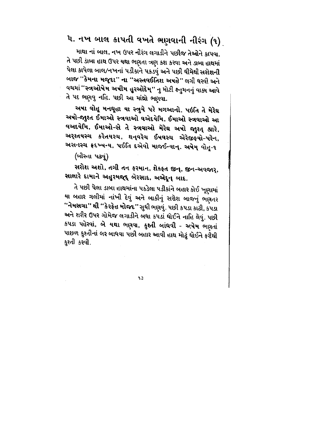## ૫. નખ બાલ કાપતી વખતે ભણવાની નીરંગ (૧)

માથા નાં બાલ, નખ ઉપર નીરંગ લગાડીને પછીજ તેઓને કાપવા. તે પછી ડાંબા હાથ ઉપર યથા ભણતા ત્રણ કશ કરવા અને ડાબા હાથમાં પેલા કાપેલા બાલ/નખનાં પડીકાને પકડવું અને પછી ઘીમેથી સરોશની બાજ "કેમના મજૂદા" ના "અસ્તવઈતિશ અષહે" લગી ઘરવી અને વચમાં ''સ્ત્રઓષેમ અષીમ હુરઓદેમ્'' નુ મોટી ક્નુમનનું વાક્ય આવે તે પદ ભણવુ નહિ. પછી આ માંથ્રો ભણવા.

અષા વોહૂ મનધૂહા યા સ્ત્રુયે પરે મગઆનો. પઇતિ તે મેરેઘ અષો-જાુશ્ત ઈમાઓ સ્ત્રવાઓ વએદયેમિ, ઈમાઓ સ્ત્રવાઓ આ વઅદયેમિ, ઈમાઓ-સે તે સ્ત્રવાઓ મેરેઘ અષો જાુશ્ત્ હારે, અરશ્તયસ્ચ કરેતયસ્ચ, થન્(વરેચ ઈષવસ્ચ એરેજીફ્યો-પરેન, અસનસ્ચ ફ્રદખ્ષન્ય, પઈતિ દએવો માજઈન્યાન્. અષેમ્ વોત્રૂ-૧

(બીસ્તા પઢવું)

સરોશ અશો, તગી તન ફરમાન, શેકફત જીન્, જીન-અવજાર્, સાલારે દામાને અહુરમજૂદ બેરસાદ, અએદૂન બાદ.

તે પછી પેલા ડાબા હાથમાંના પકડેલા પડીકાંને બહાર કોઈ ખૂણામાં યા બહાર ગલીમાં નાંખી દેવું અને બાકીનું સરોશ બાજનું ભણતર "નેમસચા" થી "કેરફેહ મોજદ" સુઘી ભણવું. પછી કપડા કાઢી, કપડા અને શરીર ઉપર ગોમેજ લગાડીને બધા કપડાં ઘોઈને નાહિ લેવું. પછી કપડા પહેરવાં, બે યથા ભણવા, કુશ્તી બાંઘવી - અષેમ ભણતાં પાછળ કુશ્તીનાં લર બાધવા પછી બહાર આવી હાથ મોઢું ધોઈને ફરીથી કુશ્તી કરવી.

าง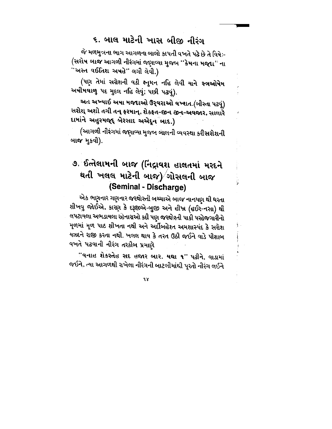## ૬. બાલ માટેની ખાસ બીજી નીરંગ

જે મળમુત્રના ભાગ આગળના બાલો કાપતી વખતે પઢે છે તે વિષેઃ-(સરોષ બાજ આગળી નીરંગમાં જણાવ્યા મુજબ ''કેમના મજ્દા'' ના ''અસ્ત વઈતિશ અષહે'' લગી લેવી.)

(પણ તેમાં સગ્રેશની વડી ક્ષ્તુમન નહિ લેવી યાને સ્ત્રઓપેમ અષીમવાળુ ૫દ મુદલ નહિ લેવું; પછી ૫ઢવું).

અત અખ્યાઈ અષા મજદાઓ ઉર્**વરાઓ વખ્શત.(બીસ્તા પ**ઢવું) સરોશ્ અશો તગી તન્ ફરમાન્, શેકફત-જીન જીન-અવજાર, સાલારે દામાંને અહુરમજૂદ્દ બેરસાદ અએદૂન બાદ.)

(આગળી નીરંગમાં જણાવ્યા મુજબ બાલની વ્યવસ્થા કરીસરોશની બાજ મુકવી).

## ૭. ઈત્તેલામની બાજ (નિદ્રાવશ હાલતમાં મરદને થતી ખલલ માટેની બાજ) $/$ ગોસલની બાજ (Seminal - Discharge)

એક ભણનાર ગણનાર જરથોસ્તી બચ્ચાએ બાજ નાન્મ્પણ થી ધરતા શીખવુ જોઈએ, કારણ કે દરૂછાએ-બુજી અને હીખ્ર (હઈર-નસા) થી લપટાયલા અભડાયલા રહેનારાઓ કદી પણ જરથોશ્તી પાકી પરહેજગારીનો મૂળમાં મૂળ પાઠ શીખતા નથી અને અર્દીબહેરત અમશાસ્પંદ કે સરોશ યઝદને રાજી કરતા નથી. ખલલ થાય કે તરત ઉઠી જઈને વાડે પીશાબ વખતે પઢવાની નીરંગ તરકીબ પ્રમાણે

"વનાહ શેકસ્તેહ સદ હજાર બાર. યથા ૧" પઢીને, વાડામાં જઈને, ત્યા આગળથી રાખેલા નીરંગની બાટલીમાંથી પૂરતો નીરંગ લઈને

 $\mathbf{r}$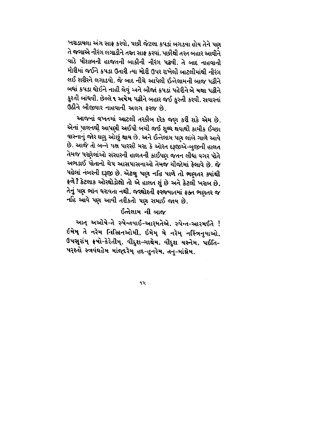ખરાડાયલા અંગ સાફ કરવો, પછી જેટલા કપડાં બગડયા હોય તેને પણ તે જગાએ નીરંગ લગાડીને તસ્ત સાફ કરવાં. પછીથી તરત બહાર આવીને ા્વાડે પીશાબની હાજતની બાકીની નીરંગ પઢવી. તે બાદ નાહવાની મોરીમાં જઈને કપડા ઉતારી ત્યા મોરી ઉપર રાખેલી બાટલીમાંથી નીરંગ લઈ શરીરને લગાડવો. જે બાદ નીચે આપેલી ઈત્તેલામની બાજુ પઢીને બધાં કપડા ઘોઈને નાહી લેવું અને બીજાં કપડાં પહેરીને બે યથા પઢીને કુશ્તી બાંધવી. છેલ્લે ૧ અ**ષેમ પઢી**ને બહાર જઈ કુસ્તી કરવી. સવારનાં ઉઠીને બીજીવાર નાહવાની અલગ ફરજ છે.

આજનાં વખતમાં આટલી તસ્કીબ દરેક જણ કરી શકે એમ છે. એનાં પાલનથી આપણી અઈપી બચી જઈ શુઘ્ઘ થવાથી કામીક ઈચ્છા વાસ્નાનું જોર ઘણુ ઓછું થાય છે. અને ઈત્તેલામ પણ લાંબે ગાળે આવે છે. આજે તો બન્ને ૫ક્ષ પારસી મરદ કે ઓરત દરૂછએ-બુજીની હાલત તેમજ પરણેલાંઓ સંસારની હાલતની કાઈપણ જતન લીધા વગર પોતે અભડાઈ પોતાનો ચેપ આસપાસનાઓ તેમજ ચીજોમાં ફેલાવે છે. જે પહેલાં નંબરની દરૂજી છે. એટલુ પણ નહિ પાળે તો ભણતર ક્યાંથી ફળે? કેટલાક ઓરથોડોક્ષો તો એ હાલત શું છે અને કેટલી ખરાબ છે. તેનું પણ ભૉન ધરાવતા નથી. જરથોશ્તી ફરજયાતમાં ફક્ત ભણતર જ નહિ આવે પણ આવી તરીકતો પણ સમાઈ જાય છે.

#### ઈત્તેલામ ની બાજ

આત્ અઓષે-તે સ્પેન્તયાઈ-આર્મતેએ, સ્પેન્ત-આરમઈતે ! ઈમેમ્ તે નરેમ નિસ્ત્રિનઓમી, ઈમેમ્ મે નરેમ્ નસ્ત્રિનુયાઓ, ઉપસૂરાંમ્ ક્રષો-કેરેતીમ્, વીદુશ-ગાથેમ, વીદુશ યસ્નેમ, પઈતિ-પરશ્તો સ્ત્રવંઘહેમ માંજદરેમુ હદ-હુનરેમ, તનુ-માંથ્રેમ.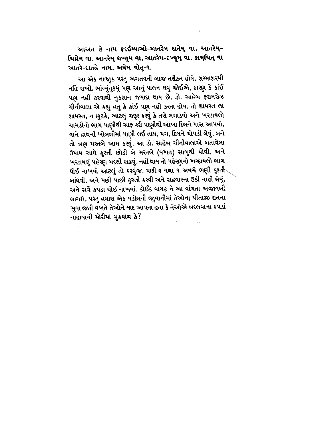આઅત હે નામ ફ્રદઈથ્યાઓ-આતરેન દાતેમ વા, આતરેમ્-ચિથ્રેમ વા, આતરેમ જન્તમ વા, આતરેમ-દખ્યુમ્ વા, કામ્ચિત્ વા આતરે-દાતહે નામ. અષેમ વોહૂ-૧.

આ એક નાજાુક પરંતુ અગતયની બાજ તરીકત હોવે, શરમાશરમી નહિં રાખી, ભાંગ્યુંતૃટયું પણ આનું પાલન થવું જોઈએ, કારણ કે કાંઈ પણ નહીં કરવાથી નુકશાન જયાદા થાય છે. ડો. સાહેબ ફરામરોઝ ચીનીવાલા એ કહ્યુ હતુ કે કાંઈ પણ નહી કરતા હોવ, તો શાયસ્ત લા શાયસ્ત, ન છુટકે, આટલું જરૂર કરવું કે તરો લગાડવો અને ખરડાયલો ચામડીનો ભાગ પાણીથી સાફ કરી પાણીથી આખા દિલને પાસ આપવો, યાને હાથની ખોબલીમાં પાણી લઈ હાથ, પગ, દિલને ચોપડી લેવું, બને તો ત્રણ મસ્તબે આમ કરવું. આ ડો. સાહેબ ચીનીવાલાએ બતાવેલા ઉપાય સાથે કુસ્તી છોડી બે મસ્તબે (વખત) સાબુથી ઘોવી, અને ખરડાયલું પહેરણ બદલી કાઢવું, નહીં થાય તો પહેરણનો ખરદાયલો ભાગ ઘોઈ નાખવો આટલું તો કરવુંજ, પછી ર **યથા ૧ અષમે** ભણી કુશ્તી બાંધવી, અને પછી પાછી કુસ્તી કરવી અને સહવારના ઉઠી નાહી લેવું, અને સર્વે કપડા ઘોઈ નાખવાં. કોઈક વાચક ને આ વાંચતા અજાયબી લાગશે, પરંતુ હમારા એક વડીલની જાુવાનીમાં તેઓના પીતાજી રાતના સુવા જતી વખતે તેઓને યાદ આપતા હતા કે તેઓએ બદલવાના કપડાં નાહાવાની મોરીમાં મુકયાંચ કે?  $\mathcal{L}_{\rm{max}}$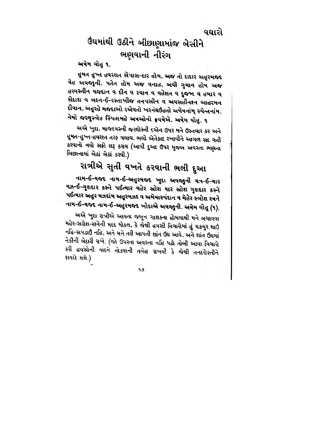## ઉંઘમાંથી ઉઠીને બીછાણામાંજ બેસીને ભણવાની નીરંગ

#### અષેમ વોહુ ૧.

હુમત હુખ્ત હવરશત સેપાસ-દાર હોમ, અજ તો દાદાર અહુરમજદ વેહ અવજાની. પતેત હોમ અજ વનાહ, અવી ગુમાન હોમ અજ હરવસ્તીન યજદાન વ દીન વ રવાન વ વહેશત વ દુજખ વ હમાર વ સેદાશ વ બદન-ઈ-રસ્તાખીજ તનપસીન વ અવસહીનરન આહરમન દીવાન. અહુરહે મજદાઓ રએવતો ખરનંઘઉંહતો અમેષનાંમ્ સ્પેન્તનાંમ. નેમો જરથુસ્ત્રેહ સ્પિતામહે અષઓનો ફ્રવષેએ. અષેમ વોહુ. ૧

અએ ખુદા, માજદયસ્ની જરથોસ્તી દએન ઉપર મને ઉસ્તવાર કર અને હુમત-હુખ્ત-હવરશ્ત તરફ ચલાવ. ભલો એતેકાદ રખાવીને આગળ સદ ગતી કરવાનો નવો સફો શરૂ કરાવ (આવી દુઆ ઉપર મુજબ અવસ્તા ભણતા બિછાનામાં બેઠાં બેઠાં કરવી.)

# રાત્રીએ સુતી વખતે કરવાની ભલી દુઆ

નામ-ઈ-યજદ નામ-ઈ-અહુરમજદ ખુદા અવજાની યઋર-ઈ-યાર યઝ-ઈ-ગુશદાર કસ્ને પઈત્યાર મહેર સ્રોશ યાર સ્રોશ ગુશદાર કસ્ને પઈત્યાર અહુર મઝદાંમ અહુરમઝદ વ અમેષાસ્પંદાન વ મેહેર સ્ત્રોશ રષને નામ-ઈ-યજદ નામ-ઈ-અહુરમજદ ખોદાએ અવજાુની. અમેમ વોત્ (૧).

અએ ખુદા રાત્રીએ આવતા જબુન ગાશકના હોમલાથી મને બચાવવા મહેર-સરોશ-રશ્નેની મદદ મોકલ, કે જેથી હવસી વિચારોમાં હું ચકચુર થાઉં નહિ-સપડાઉં નહિ, અને મને તરી આપતી શાંત ઉંઘ આવે, અને શાંત ઉંઘમાં નેકીની બેદારી ચખે. (જો ઉપરના અવસ્તા નહિ પઢો તોબી આવા વિચારો કરી હવસોની યાદને તોડવાની તબેહ રાખવી કે જેથી તનદરોસ્તીને કાયદો થશે)

۹9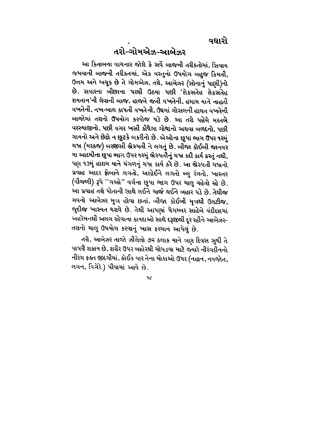વધારો

## તરો-ગોમએઝ-આબેઝર

આ કિતાબના વાચનાર જોશે કે સર્વે બાજની તરીકતોમાં, સિવાય જમવાની બાજની તરીકતમાં, એક વસ્તુનો ઉપયોગ બહુજ કિંમતી, ઉત્તમ અને અચુક છે તે ગોમએઝ, તરો, આબેઝર (સોનાનું પાણી)નો છે. સવારના બીછાના પરથી ઉઠયા પછી 'શેકસતેહ શેકસતેહ શયતાન'ની લેવાની બાજ, હાજતે જતી વખતેની, હમામ યાને નાહતી વખતેની, નખ-બાલ કાપતી વખતેની, ઉંઘમાં ગોસલની હાલત વખતેની બાજોમાં તરાનો ઉપયોગ કરવોજ પડે છે. આ તરો પહેલે મરતબે વરસ્યાજીનો, પછી વગર ખસી કીધેલા ગોધાનો અથવા બળદનો, પછી ગાયનો અને છેલ્રે ન છુટકે બકરીનો છે. એઓના છુપા ભાગ ઉપર ૧૨મું ચખ્ર (મરકજ) બરજીસી ભ્રેસ્પતી ને લગતું છે. બીજા કોઈબી જાનવર યા આદમીના છુપા ભાગ ઉપર ૧૨મું ભ્રેસ્પતીનું ચખ્ર કદી કાર્ય કરતું નથી, પણ ૧૩મું હાશમ યાને મંગળનું ચખ્ર કાર્ય કરે છે. આ ભ્રેસ્પતી ચખ્રનો પ્રવાહ આદર ફ્રોબાને લગતો, અશોઈને લગતો બ્લુ રંગનો, ખાસ્તર (વીજળી) રૂપે ''ગઓ'' વર્ગના છુપા ભાગ ઉપર ચાલુ વહેતો રહે છે. આ પ્રવાહ તરો પોતાની સાથે લઈને ચાર્જ થઈને બહાર પડે છે. તેથીજ ગવનો આબેઝર મુત્ર હોવા છતાં, બીજા કોઈબી મૂત્રથી ઉલટીજ, જુદીજ ખાસ્યત ધરાવે છે. તેથી આપણાં પેગમ્બર સાહેબે વંદીદાદમાં અહરેમનથી અલગ રહેવાના કાયદાઓ સાથે દરૂજીથી દૂર રહીને આબેઝર-તરાનો ચાલુ ઉપયોગ કરવાનું ખાસ ફરમાન આપેલું છે.

તરો, આબેઝર તાજો ઝીલેલો ૭૨ કલાક યાને ત્રણ દિવસ સુધી તે વાપરી શકાય છે, શરીર ઉપર બાહેરથી ચોપડવા માટે જ્યારે નીરંગદીનનો નીરંગ ફક્ત જીંદગીમાં, કોઈક વાર તેના મોકાઓ ઉપર (નહાન, નવજોત, લગન, વિગેરે.) પીવામાં આવે છે.

٩૮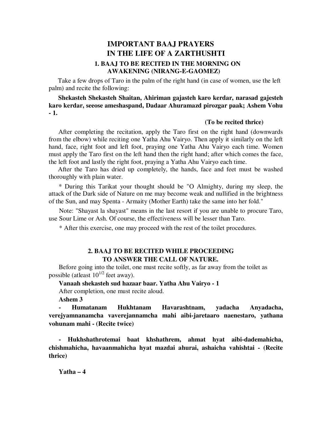### **IMPORTANT BAAJ PRAYERS IN THE LIFE OF A ZARTHUSHTI 1. BAAJ TO BE RECITED IN THE MORNING ON AWAKENING (NIRANG-E-GAOMEZ)**

Take a few drops of Taro in the palm of the right hand (in case of women, use the left palm) and recite the following:

**Shekasteh Shekasteh Shaitan, Ahiriman gajasteh karo kerdar, narasad gajesteh karo kerdar, seeose ameshaspand, Dadaar Ahuramazd pirozgar paak; Ashem Vohu - 1.**

#### **(To be recited thrice)**

After completing the recitation, apply the Taro first on the right hand (downwards from the elbow) while reciting one Yatha Ahu Vairyo. Then apply it similarly on the left hand, face, right foot and left foot, praying one Yatha Ahu Vairyo each time. Women must apply the Taro first on the left hand then the right hand; after which comes the face, the left foot and lastly the right foot, praying a Yatha Ahu Vairyo each time.

After the Taro has dried up completely, the hands, face and feet must be washed thoroughly with plain water.

\* During this Tarikat your thought should be "O Almighty, during my sleep, the attack of the Dark side of Nature on me may become weak and nullified in the brightness of the Sun, and may Spenta - Armaity (Mother Earth) take the same into her fold."

Note: "Shayast la shayast" means in the last resort if you are unable to procure Taro, use Sour Lime or Ash. Of course, the effectiveness will be lesser than Taro.

\* After this exercise, one may proceed with the rest of the toilet procedures.

#### **2. BAAJ TO BE RECITED WHILE PROCEEDING TO ANSWER THE CALL OF NATURE.**

Before going into the toilet, one must recite softly, as far away from the toilet as possible (at least  $10^{1/2}$  feet away).

**Vanaah shekasteh sud hazaar baar. Yatha Ahu Vairyo - 1** 

After completion, one must recite aloud.

**Ashem 3** 

**- Humatanam Hukhtanam Havarashtnam, yadacha Anyadacha, verejyamnanamcha vaverejannamcha mahi aibi-jaretaaro naenestaro, yathana vohunam mahi - (Recite twice)** 

**- Hukhshathrotemai baat khshathrem, ahmat hyat aibi-dademahicha, chishmahicha, havaanmahicha hyat mazdai ahurai, ashaicha vahishtai - (Recite thrice)** 

**Yatha – 4**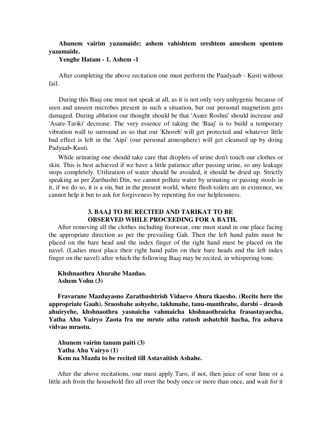#### **Ahunem vairim yazamaide; ashem vahishtem sreshtem ameshem spentem yazamaide.**

#### **Yenghe Hatam - 1. Ashem -1**

After completing the above recitation one must perform the Paadyaab - Kusti without fail.

During this Baaj one must not speak at all, as it is not only very unhygenic because of seen and unseen microbes present in such a situation, but our personal magnetism gets damaged. During ablution our thought should be that 'Asare Roshni' should increase and 'Asare-Tariki' decrease. The very essence of taking the 'Baaj' is to build a temporary vibration wall to surround us so that our 'Khoreh' will get protected and whatever little bad effect is left in the 'Aipi' (our personal atmosphere) will get cleansed up by doing Padyaab-Kusti.

While urinating one should take care that droplets of urine don't touch our clothes or skin. This is best achieved if we have a little patience after passing urine, so any leakage stops completely. Utilization of water should be avoided, it should be dried up. Strictly speaking as per Zarthushti Din, we cannot pollute water by urinating or passing stools in it, if we do so, it is a sin, but in the present world, where flush toilets are in existence, we cannot help it but to ask for forgiveness by repenting for our helplessness.

#### **3. BAAJ TO BE RECITED AND TARIKAT TO BE OBSERVED WHILE PROCEEDING FOR A BATH.**

After removing all the clothes including footwear, one must stand in one place facing the appropriate direction as per the prevailing Gah. Then the left hand palm must be placed on the bare head and the index finger of the right hand must be placed on the navel. (Ladies must place their right hand palm on their bare heads and the left index finger on the navel) after which the following Baaj may be recited, in whispering tone.

#### **Khshnaothra Ahurahe Mazdao. Ashem Vohu (3)**

**Fravarane Mazdayasno Zarathushtrish Vidaevo Ahura tkaesho. (Recite here the appropriate Gaah). Sraoshahe ashyehe, takhmahe, tanu-manthrahe, darshi - draosh ahuiryehe, khshnaothra yasnaicha vahmaicha khshnaothraicha frasastayaecha, Yatha Ahu Vairyo Zaota fra me mrute atha ratush ashatchit hacha, fra ashava vidvao mraotu.** 

**Ahunem vairim tanum paiti (3) Yatha Ahu Vairyo (1) Kem na Mazda to be recited till Astavaitish Ashahe.**

After the above recitations, one must apply Taro, if not, then juice of sour lime or a little ash from the household fire all over the body once or more than once, and wait for it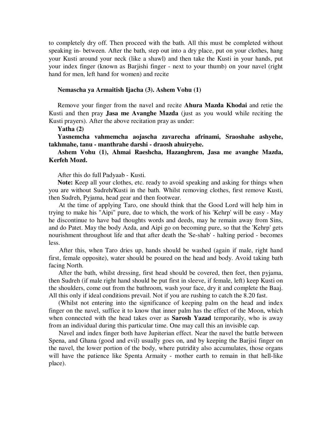to completely dry off. Then proceed with the bath. All this must be completed without speaking in- between. After the bath, step out into a dry place, put on your clothes, hang your Kusti around your neck (like a shawl) and then take the Kusti in your hands, put your index finger (known as Barjishi finger - next to your thumb) on your navel (right hand for men, left hand for women) and recite

#### **Nemascha ya Armaitish Ijacha (3). Ashem Vohu (1)**

Remove your finger from the navel and recite **Ahura Mazda Khodai** and retie the Kusti and then pray **Jasa me Avanghe Mazda** (just as you would while reciting the Kusti prayers). After the above recitation pray as under:

#### **Yatha (2)**

**Yasnemcha vahmemcha aojascha zavarecha afrinami, Sraoshahe ashyehe, takhmahe, tanu - manthrahe darshi - draosh ahuiryehe.** 

#### **Ashem Vohu (1), Ahmai Raeshcha, Hazanghrem, Jasa me avanghe Mazda, Kerfeh Mozd.**

After this do full Padyaab - Kusti.

**Note:** Keep all your clothes, etc. ready to avoid speaking and asking for things when you are without Sudreh/Kusti in the bath. Whilst removing clothes, first remove Kusti, then Sudreh, Pyjama, head gear and then footwear.

At the time of applying Taro, one should think that the Good Lord will help him in trying to make his "Aipi" pure, due to which, the work of his 'Kehrp' will be easy - May he discontinue to have bad thoughts words and deeds, may he remain away from Sins, and do Patet. May the body Azda, and Aipi go on becoming pure, so that the 'Kehrp' gets nourishment throughout life and that after death the 'Se-shab' - halting period - becomes less.

After this, when Taro dries up, hands should be washed (again if male, right hand first, female opposite), water should be poured on the head and body. Avoid taking bath facing North.

After the bath, whilst dressing, first head should be covered, then feet, then pyjama, then Sudreh (if male right hand should be put first in sleeve, if female, left) keep Kusti on the shoulders, come out from the bathroom, wash your face, dry it and complete the Baaj. All this only if ideal conditions prevail. Not if you are rushing to catch the 8.20 fast.

(Whilst not entering into the significance of keeping palm on the head and index finger on the navel, suffice it to know that inner palm has the effect of the Moon, which when connected with the head takes over as **Sarosh Yazad** temporarily, who is away from an individual during this particular time. One may call this an invisible cap.

Navel and index finger both have Jupiterian effect. Near the navel the battle between Spena, and Ghana (good and evil) usually goes on, and by keeping the Barjisi finger on the navel, the lower portion of the body, where putridity also accumulates, those organs will have the patience like Spenta Armaity - mother earth to remain in that hell-like place).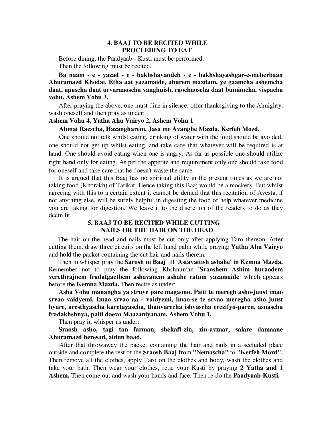#### **4. BAAJ TO BE RECITED WHILE PROCEEDING TO EAT**

Before dining, the Paadyaab - Kusti must be performed. Then the following must be recited.

**Ba naam - e - yazad - e - bakhshayandeh - e - bakhshayashgar-e-meherbaan Ahuramazd Khodai. Etha aat yazamaide, ahurem mazdam, ye gaamcha ashemcha daat, apascha daat urvaraaoscha vanghuish, raochaoscha daat bumimcha, vispacha vohu. Ashem Vohu 3.** 

After praying the above, one must dine in silence, offer thanksgiving to the Almighty, wash oneself and then pray as under:

#### **Ashem Vohu 4, Yatha Ahu Vairyo 2, Ashem Vohu 1**

#### **Ahmai Raescha, Hazangharem, Jasa me Avanghe Mazda, Kerfeh Mozd.**

One should not talk whilst eating, drinking of water with the food should be avoided, one should not get up whilst eating, and take care that whatever will be required is at hand. One should-avoid eating when one is angry. As far as possible one should utilize right hand only for eating. As per the appetite and requirement only one should take food for oneself and take care that he doesn't waste the same.

It is argued that this Baaj has no spiritual utility in the present times as we are not taking food (Khorakh) of Tarikat. Hence taking this Baaj would be a mockery. But whilst agreeing with this to a certain extent it cannot be denied that this recitation of Avesta, if not anything else, will be surely helpful in digesting the food or help whatever medicine you are taking for digestion. We leave it to the discretion of the readers to do as they deem fit.

#### **5. BAAJ TO BE RECITED WHILE CUTTING NAILS OR THE HAIR ON THE HEAD**

The hair on the head and nails must be cut only after applying Taro thereon. After cutting them, draw three circuits on the left hand palm while praying **Yatha Ahu Vairyo** and hold the packet containing the cut hair and nails therein.

Then in whisper pray the **Sarosh ni Baaj** till **'Astavaitish ashahe' in Kemna Mazda.** Remember not to pray the following Khshnuman **'Sraoshem Ashim huraodem verethrajnem fradatgaethem ashavanem ashahe ratum yazamaide'** which appears before the **Kemna Mazda.** Then recite as under:

**Asha Vohu manangha ya struye pare magaono. Paiti te meregh asho-juust imao srvao vaidyemi. Imao srvao aa - vaidyemi, imao-se te srvao meregha asho juust hyare, aresthyascha karetayascha, thanvarecha ishvascha erezifyo-paren, asnascha fradakhshnya, paiti daevo Maazaniyanam. Ashem Vohu 1.** 

Then pray in whisper as under:

**Sraosh asho, tagi tan farman, shekaft-zin, zin-avzaar, salare damaane Ahuramazd beresad, aidun baad.** 

After that throwaway the packet containing the hair and nails in a secluded place outside and complete the rest of the **Sraosh Baaj** from **"Nemascha"** to **"Kerfeh Mozd".** Then remove all the clothes, apply Taro on the clothes and body, wash the clothes and take your bath. Then wear your clothes, retie your Kusti by praying **2 Yatha and 1 Ashem.** Then come out and wash your hands and face. Then re-do the **Paadyaab-Kusti.**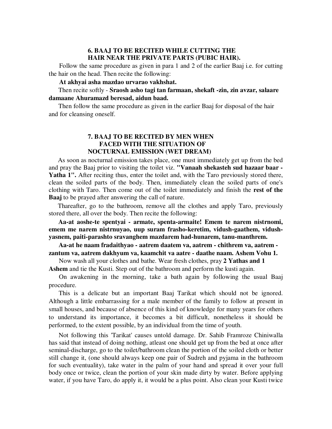#### **6. BAAJ TO BE RECITED WHILE CUTTING THE HAIR NEAR THE PRIVATE PARTS (PUBIC HAIR).**

Follow the same procedure as given in para 1 and 2 of the earlier Baaj i.e. for cutting the hair on the head. Then recite the following:

**At akhyai asha mazdao urvarao vakhshat.** 

Then recite softly - **Sraosh asho tagi tan farmaan, shekaft -zin, zin avzar, salaare damaane Ahuramazd beresad, aidun baad.** 

Then follow the same procedure as given in the earlier Baaj for disposal of the hair and for cleansing oneself.

#### **7. BAAJ TO BE RECITED BY MEN WHEN FACED WITH THE SITUATION OF NOCTURNAL EMISSION (WET DREAM)**

As soon as nocturnal emission takes place, one must immediately get up from the bed and pray the Baaj prior to visiting the toilet viz. **"Vanaah shekasteh sud hazaar baar -**  Yatha 1". After reciting thus, enter the toilet and, with the Taro previously stored there, clean the soiled parts of the body. Then, immediately clean the soiled parts of one's clothing with Taro. Then come out of the toilet immediately and finish the **rest of the Baaj** to be prayed after answering the call of nature.

Thareafter, go to the bathroom, remove all the clothes and apply Taro, previously stored there, all over the body. Then recite the following:

**Aa-at aoshe-te spentyai - armate, spenta-armaite! Emem te narem nistrnomi, emem me narem nistrnuyao, uup suram frasho-keretim, vidush-gaathem, vidushyasnem, paiti-parashto sravanghem mazdarem had-hunarem, tanu-manthrem.** 

**Aa-at he naam fradaithyao - aatrem daatem va, aatrem - chithrem va, aatrem zantum va, aatrem dakhyum va, kaamchit va aatre - daathe naam. Ashem Vohu 1.** 

Now wash all your clothes and bathe. Wear fresh clothes, pray **2 Yathas and 1 Ashem** and tie the Kusti. Step out of the bathroom and perform the kusti again.

On awakening in the morning, take a bath again by following the usual Baaj procedure.

This is a delicate but an important Baaj Tarikat which should not be ignored. Although a little embarrassing for a male member of the family to follow at present in small houses, and because of absence of this kind of knowledge for many years for others to understand its importance, it becomes a bit difficult, nonetheless it should be performed, to the extent possible, by an individual from the time of youth.

Not following this 'Tarikat' causes untold damage. Dr. Sahib Framroze Chiniwalla has said that instead of doing nothing, atleast one should get up from the bed at once after seminal-discharge, go to the toilet/bathroom clean the portion of the soiled cloth or better still change it, (one should always keep one pair of Sudreh and pyjama in the bathroom for such eventuality), take water in the palm of your hand and spread it over your full body once or twice, clean the portion of your skin made dirty by water. Before applying water, if you have Taro, do apply it, it would be a plus point. Also clean your Kusti twice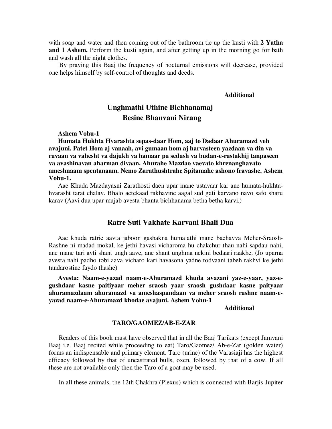with soap and water and then coming out of the bathroom tie up the kusti with **2 Yatha and 1 Ashem,** Perform the kusti again, and after getting up in the morning go for bath and wash all the night clothes.

By praying this Baaj the frequency of nocturnal emissions will decrease, provided one helps himself by self-control of thoughts and deeds.

**Additional** 

### **Unghmathi Uthine Bichhanamaj Besine Bhanvani Nirang**

**Ashem Vohu-1** 

**Humata Hukhta Hvarashta sepas-daar Hom, aaj to Dadaar Ahuramazd veh avajuni. Patet Hom aj vanaah, avi gumaan hom aj harvasteen yazdaan va din va ravaan va vahesht va dajukh va hamaar pa sedash va budan-e-rastakhij tanpaseen va avashinavan aharman divaan. Ahurahe Mazdao vaevato khrenanghavato ameshnaam spentanaam. Nemo Zarathushtrahe Spitamahe ashono fravashe. Ashem Vohu-1.**

Aae Khuda Mazdayasni Zarathosti daen upar mane ustavaar kar ane humata-hukhtahvarasht tarat chalav. Bhalo aetekaad rakhavine aagal sud gati karvano navo safo sharu karav (Aavi dua upar mujab avesta bhanta bichhanama betha betha karvi.)

#### **Ratre Suti Vakhate Karvani Bhali Dua**

Aae khuda ratrie aavta jaboon gashakna humalathi mane bachavva Meher-Sraosh-Rashne ni madad mokal, ke jethi havasi vicharoma hu chakchur thau nahi-sapdau nahi, ane mane tari avti shant ungh aave, ane shant unghma nekini bedaari raakhe. (Jo uparna avesta nahi padho tobi aava vicharo kari havasona yadne todvaani tabeh rakhvi ke jethi tandarostine faydo thashe)

**Avesta: Naam-e-yazad naam-e-Ahuramazd khuda avazani yaz-e-yaar, yaz-egushdaar kasne paitiyaar meher sraosh yaar sraosh gushdaar kasne paityaar ahuramazdaam ahuramazd va ameshaspandaan va meher sraosh rashne naam-eyazad naam-e-Ahuramazd khodae avajuni. Ashem Vohu-1** 

#### **Additional**

#### **TARO/GAOMEZ/AB-E-ZAR**

Readers of this book must have observed that in all the Baaj Tarikats (except Jamvani Baaj i.e. Baaj recited while proceeding to eat) Taro/Gaomez/ Ab-e-Zar (golden water) forms an indispensable and primary element. Taro (urine) of the Varasiaji has the highest efficacy followed by that of uncastrated bulls, oxen, followed by that of a cow. If all these are not available only then the Taro of a goat may be used.

In all these animals, the 12th Chakhra (Plexus) which is connected with Barjis-Jupiter